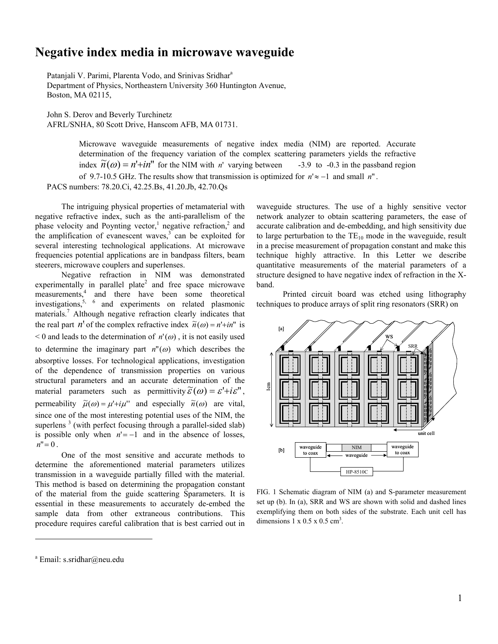## **Negative index media in microwave waveguide**

Patanjali V. Parimi, Plarenta Vodo, and Srinivas Sridhar<sup>a</sup> Department of Physics, Northeastern University 360 Huntington Avenue, Boston, MA 02115,

John S. Derov and Beverly Turchinetz AFRL/SNHA, 80 Scott Drive, Hanscom AFB, MA 01731.

Microwave waveguide measurements of negative index media (NIM) are reported. Accurate determination of the frequency variation of the complex scattering parameters yields the refractive index  $\widetilde{n}(\omega) = n' + in'$  for the NIM with *n*' varying between -3.9 to -0.3 in the passband region of 9.7-10.5 GHz. The results show that transmission is optimized for *n*'≈ −1 and small *n*" . PACS numbers: 78.20.Ci, 42.25.Bs, 41.20.Jb, 42.70.Qs

The intriguing physical properties of metamaterial with negative refractive index, such as the anti-parallelism of the phase velocity and Poynting vector,<sup>1</sup> negative refraction,<sup>2</sup> and the amplification of evanescent waves, $3$  can be exploited for several interesting technological applications. At microwave frequencies potential applications are in bandpass filters, beam steerers, microwave couplers and superlenses.

Negative refraction in NIM was demonstrated experimentally in parallel plate<sup>2</sup> and free space microwave measurements,<sup>4</sup> and there have been some theoretical investigations,<sup>5, 6</sup> and experiments on related plasmonic materials.<sup>7</sup> Although negative refraction clearly indicates that the real part *n*<sup>1</sup> of the complex refractive index  $\tilde{n}(\omega) = n' + in'$  is  $< 0$  and leads to the determination of  $n'(\omega)$ , it is not easily used to determine the imaginary part  $n''(\omega)$  which describes the absorptive losses. For technological applications, investigation of the dependence of transmission properties on various structural parameters and an accurate determination of the material parameters such as permittivity  $\widetilde{\varepsilon}(\omega) = \varepsilon' + i \varepsilon''$ , permeability  $\tilde{\mu}(\omega) = \mu' + i\mu'$  and especially  $\tilde{n}(\omega)$  are vital, since one of the most interesting potential uses of the NIM, the superlens<sup>3</sup> (with perfect focusing through a parallel-sided slab) is possible only when  $n'=-1$  and in the absence of losses,  $n''=0$ .

One of the most sensitive and accurate methods to determine the aforementioned material parameters utilizes transmission in a waveguide partially filled with the material. This method is based on determining the propagation constant of the material from the guide scattering Sparameters. It is essential in these measurements to accurately de-embed the sample data from other extraneous contributions. This procedure requires careful calibration that is best carried out in waveguide structures. The use of a highly sensitive vector network analyzer to obtain scattering parameters, the ease of accurate calibration and de-embedding, and high sensitivity due to large perturbation to the  $TE_{10}$  mode in the waveguide, result in a precise measurement of propagation constant and make this technique highly attractive. In this Letter we describe quantitative measurements of the material parameters of a structure designed to have negative index of refraction in the Xband.

Printed circuit board was etched using lithography techniques to produce arrays of split ring resonators (SRR) on



FIG. 1 Schematic diagram of NIM (a) and S-parameter measurement set up (b). In (a), SRR and WS are shown with solid and dashed lines exemplifying them on both sides of the substrate. Each unit cell has dimensions  $1 \times 0.5 \times 0.5$  cm<sup>3</sup>.

 $\overline{a}$ 

<sup>&</sup>lt;sup>a</sup> Email: s.sridhar@neu.edu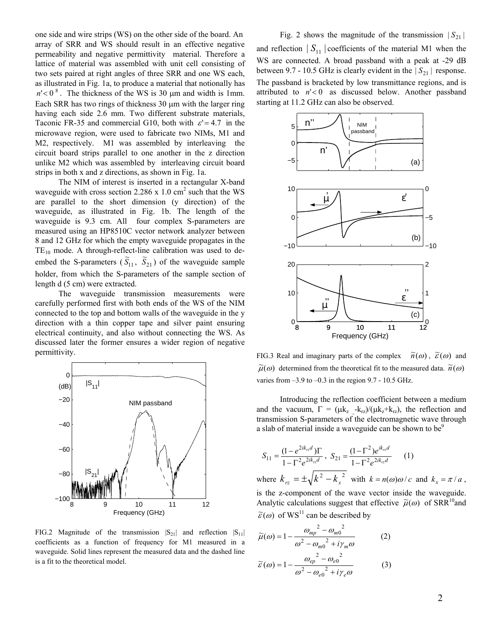one side and wire strips (WS) on the other side of the board. An array of SRR and WS should result in an effective negative permeability and negative permittivity material. Therefore a lattice of material was assembled with unit cell consisting of two sets paired at right angles of three SRR and one WS each, as illustrated in Fig. 1a, to produce a material that notionally has  $n' < 0$ <sup>8</sup>. The thickness of the WS is 30  $\mu$ m and width is 1mm. Each SRR has two rings of thickness 30  $\mu$ m with the larger ring having each side 2.6 mm. Two different substrate materials, Taconic FR-35 and commercial G10, both with  $\varepsilon$  = 4.7 in the microwave region, were used to fabricate two NIMs, M1 and M2, respectively. M1 was assembled by interleaving the circuit board strips parallel to one another in the z direction unlike M2 which was assembled by interleaving circuit board strips in both x and z directions, as shown in Fig. 1a.

The NIM of interest is inserted in a rectangular X-band waveguide with cross section 2.286 x 1.0  $\text{cm}^2$  such that the WS are parallel to the short dimension (y direction) of the waveguide, as illustrated in Fig. 1b. The length of the waveguide is 9.3 cm. All four complex S-parameters are measured using an HP8510C vector network analyzer between 8 and 12 GHz for which the empty waveguide propagates in the  $TE_{10}$  mode. A through-reflect-line calibration was used to deembed the S-parameters  $(\widetilde{S}_{11}, \widetilde{S}_{21})$  of the waveguide sample holder, from which the S-parameters of the sample section of length d (5 cm) were extracted.

The waveguide transmission measurements were carefully performed first with both ends of the WS of the NIM connected to the top and bottom walls of the waveguide in the y direction with a thin copper tape and silver paint ensuring electrical continuity, and also without connecting the WS. As discussed later the former ensures a wider region of negative permittivity.



FIG.2 Magnitude of the transmission  $|S_{21}|$  and reflection  $|S_{11}|$ coefficients as a function of frequency for M1 measured in a waveguide. Solid lines represent the measured data and the dashed line is a fit to the theoretical model.

and reflection  $|S_{11}|$  coefficients of the material M1 when the WS are connected. A broad passband with a peak at -29 dB between 9.7 - 10.5 GHz is clearly evident in the  $|S_{21}|$  response. The passband is bracketed by low transmittance regions, and is attributed to  $n' < 0$  as discussed below. Another passband starting at 11.2 GHz can also be observed.



FIG.3 Real and imaginary parts of the complex  $\tilde{n}(\omega)$ ,  $\tilde{\varepsilon}(\omega)$  and  $\widetilde{\mu}(\omega)$  determined from the theoretical fit to the measured data.  $\widetilde{n}(\omega)$ varies from  $-3.9$  to  $-0.3$  in the region 9.7 - 10.5 GHz.

Introducing the reflection coefficient between a medium and the vacuum,  $\Gamma = (\mu k_z - k_{rz})/(\mu k_z + k_{rz})$ , the reflection and transmission S-parameters of the electromagnetic wave through a slab of material inside a waveguide can be shown to be<sup>9</sup>

$$
S_{11} = \frac{(1 - e^{2ik_r d})\Gamma}{1 - \Gamma^2 e^{2ik_r d}}, \quad S_{21} = \frac{(1 - \Gamma^2)e^{ik_r d}}{1 - \Gamma^2 e^{2ik_r d}} \quad (1)
$$
  
where  $k_{rz} = \pm \sqrt{k^2 - k_x^2}$  with  $k = n(\omega)\omega/c$  and  $k_x = \pi/a$ ,  
is the z-component of the wave vector inside the waveguide.  
Analytic calculations suggest that effective  $\tilde{\mu}(\omega)$  of SRR<sup>10</sup> and

 $\widetilde{\varepsilon}(\omega)$  of WS<sup>11</sup> can be described by

$$
\widetilde{\mu}(\omega) = 1 - \frac{\omega_{mp}^2 - \omega_{m0}^2}{\omega^2 - \omega_{m0}^2 + i\gamma_m \omega}
$$
\n
$$
\widetilde{\varepsilon}(\omega) = 1 - \frac{\omega_{ep}^2 - \omega_{e0}^2}{\omega^2 - \omega_{e0}^2 + i\gamma_e \omega}
$$
\n(3)